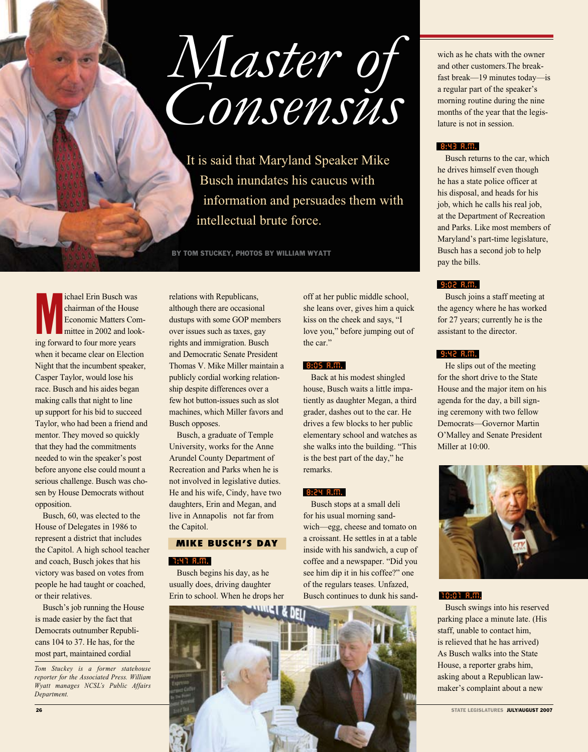# *Master of Consensus*

 It is said that Maryland Speaker Mike Busch inundates his caucus with information and persuades them with intellectual brute force.

By Tom Stuckey, Photos by William Wyatt

Infinited Erin Busch was<br>
chairman of the House<br>
Economic Matters Comittee in 2002 and loo<br>
ing forward to four more years ichael Erin Busch was chairman of the House Economic Matters Committee in 2002 and lookwhen it became clear on Election Night that the incumbent speaker, Casper Taylor, would lose his race. Busch and his aides began making calls that night to line up support for his bid to succeed Taylor, who had been a friend and mentor. They moved so quickly that they had the commitments needed to win the speaker's post before anyone else could mount a serious challenge. Busch was chosen by House Democrats without opposition.

Busch, 60, was elected to the House of Delegates in 1986 to represent a district that includes the Capitol. A high school teacher and coach, Busch jokes that his victory was based on votes from people he had taught or coached, or their relatives.

Busch's job running the House is made easier by the fact that Democrats outnumber Republicans 104 to 37. He has, for the most part, maintained cordial

*Tom Stuckey is a former statehouse reporter for the Associated Press. William Wyatt manages NCSL's Public Affairs Department.*

relations with Republicans, although there are occasional dustups with some GOP members over issues such as taxes, gay rights and immigration. Busch and Democratic Senate President Thomas V. Mike Miller maintain a publicly cordial working relationship despite differences over a few hot button-issues such as slot machines, which Miller favors and Busch opposes.

Busch, a graduate of Temple University, works for the Anne Arundel County Department of Recreation and Parks when he is not involved in legislative duties. He and his wife, Cindy, have two daughters, Erin and Megan, and live in Annapolis not far from the Capitol.

### **MIKE BUSCH'S DAY**

#### 7:47 A.M.

Busch begins his day, as he usually does, driving daughter Erin to school. When he drops her

off at her public middle school, she leans over, gives him a quick kiss on the cheek and says, "I love you," before jumping out of the car."

#### 8:05 A.M.

Back at his modest shingled house, Busch waits a little impatiently as daughter Megan, a third grader, dashes out to the car. He drives a few blocks to her public elementary school and watches as she walks into the building. "This is the best part of the day," he remarks.

#### 8:24 A.M.

Busch stops at a small deli for his usual morning sandwich—egg, cheese and tomato on a croissant. He settles in at a table inside with his sandwich, a cup of coffee and a newspaper. "Did you see him dip it in his coffee?" one of the regulars teases. Unfazed, Busch continues to dunk his sand-



wich as he chats with the owner and other customers.The breakfast break—19 minutes today—is a regular part of the speaker's morning routine during the nine months of the year that the legislature is not in session.

#### 8:43 A.M.

Busch returns to the car, which he drives himself even though he has a state police officer at his disposal, and heads for his job, which he calls his real job, at the Department of Recreation and Parks. Like most members of Maryland's part-time legislature, Busch has a second job to help pay the bills.

#### 9:02 A.M.

Busch joins a staff meeting at the agency where he has worked for 27 years; currently he is the assistant to the director.

#### 9:42 A.M.

He slips out of the meeting for the short drive to the State House and the major item on his agenda for the day, a bill signing ceremony with two fellow Democrats—Governor Martin O'Malley and Senate President Miller at 10:00.



#### 10:01 A.M.

Busch swings into his reserved parking place a minute late. (His staff, unable to contact him, is relieved that he has arrived) As Busch walks into the State House, a reporter grabs him, asking about a Republican lawmaker's complaint about a new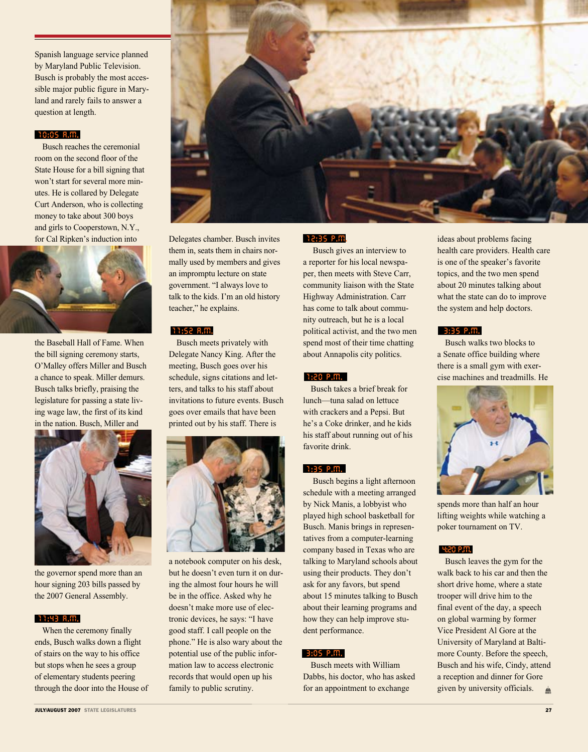Spanish language service planned by Maryland Public Television. Busch is probably the most accessible major public figure in Maryland and rarely fails to answer a question at length.

#### 10:05 A.M.

Busch reaches the ceremonial room on the second floor of the State House for a bill signing that won't start for several more minutes. He is collared by Delegate Curt Anderson, who is collecting money to take about 300 boys and girls to Cooperstown, N.Y., for Cal Ripken's induction into



the Baseball Hall of Fame. When the bill signing ceremony starts, O'Malley offers Miller and Busch a chance to speak. Miller demurs. Busch talks briefly, praising the legislature for passing a state living wage law, the first of its kind in the nation. Busch, Miller and



the governor spend more than an hour signing 203 bills passed by the 2007 General Assembly.

#### 11:43 A.M.

When the ceremony finally ends, Busch walks down a flight of stairs on the way to his office but stops when he sees a group of elementary students peering through the door into the House of Delegates chamber. Busch invites them in, seats them in chairs normally used by members and gives an impromptu lecture on state government. "I always love to talk to the kids. I'm an old history teacher," he explains.

#### 11:52 A.M.

Busch meets privately with Delegate Nancy King. After the meeting, Busch goes over his schedule, signs citations and letters, and talks to his staff about invitations to future events. Busch goes over emails that have been printed out by his staff. There is



a notebook computer on his desk, but he doesn't even turn it on during the almost four hours he will be in the office. Asked why he doesn't make more use of electronic devices, he says: "I have good staff. I call people on the phone." He is also wary about the potential use of the public information law to access electronic records that would open up his family to public scrutiny.

#### 12:35 P.M.

 Busch gives an interview to a reporter for his local newspaper, then meets with Steve Carr, community liaison with the State Highway Administration. Carr has come to talk about community outreach, but he is a local political activist, and the two men spend most of their time chatting about Annapolis city politics.

#### 1:20 P.M.

Busch takes a brief break for lunch—tuna salad on lettuce with crackers and a Pepsi. But he's a Coke drinker, and he kids his staff about running out of his favorite drink.

#### 1:35 P.M.

 Busch begins a light afternoon schedule with a meeting arranged by Nick Manis, a lobbyist who played high school basketball for Busch. Manis brings in representatives from a computer-learning company based in Texas who are talking to Maryland schools about using their products. They don't ask for any favors, but spend about 15 minutes talking to Busch about their learning programs and how they can help improve student performance.

#### 3:05 P.M.

Busch meets with William Dabbs, his doctor, who has asked for an appointment to exchange

ideas about problems facing health care providers. Health care is one of the speaker's favorite topics, and the two men spend about 20 minutes talking about what the state can do to improve the system and help doctors.

#### 3:35 P.M.

Busch walks two blocks to a Senate office building where there is a small gym with exercise machines and treadmills. He



spends more than half an hour lifting weights while watching a poker tournament on TV.

#### 4:20 P.M.

Busch leaves the gym for the walk back to his car and then the short drive home, where a state trooper will drive him to the final event of the day, a speech on global warming by former Vice President Al Gore at the University of Maryland at Baltimore County. Before the speech, Busch and his wife, Cindy, attend a reception and dinner for Gore given by university officials. $\mathbf{m}$